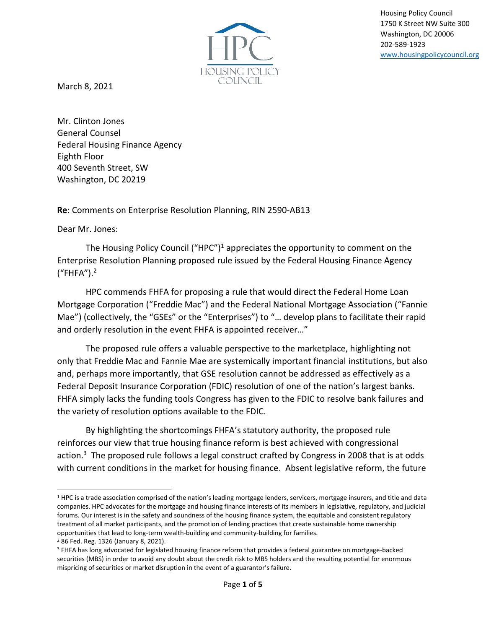

Housing Policy Council 1750 K Street NW Suite 300 Washington, DC 20006 202-589-1923 [www.housingpolicycouncil.org](http://www.housingpolicycouncil.org/)

March 8, 2021

Mr. Clinton Jones General Counsel Federal Housing Finance Agency Eighth Floor 400 Seventh Street, SW Washington, DC 20219

**Re**: Comments on Enterprise Resolution Planning, RIN 2590-AB13

Dear Mr. Jones:

The Housing Policy Council ("HPC")<sup>1</sup> appreciates the opportunity to comment on the Enterprise Resolution Planning proposed rule issued by the Federal Housing Finance Agency ("FHFA").<sup>2</sup>

HPC commends FHFA for proposing a rule that would direct the Federal Home Loan Mortgage Corporation ("Freddie Mac") and the Federal National Mortgage Association ("Fannie Mae") (collectively, the "GSEs" or the "Enterprises") to "… develop plans to facilitate their rapid and orderly resolution in the event FHFA is appointed receiver…"

The proposed rule offers a valuable perspective to the marketplace, highlighting not only that Freddie Mac and Fannie Mae are systemically important financial institutions, but also and, perhaps more importantly, that GSE resolution cannot be addressed as effectively as a Federal Deposit Insurance Corporation (FDIC) resolution of one of the nation's largest banks. FHFA simply lacks the funding tools Congress has given to the FDIC to resolve bank failures and the variety of resolution options available to the FDIC.

By highlighting the shortcomings FHFA's statutory authority, the proposed rule reinforces our view that true housing finance reform is best achieved with congressional action.<sup>3</sup> The proposed rule follows a legal construct crafted by Congress in 2008 that is at odds with current conditions in the market for housing finance. Absent legislative reform, the future

<sup>&</sup>lt;sup>1</sup> HPC is a trade association comprised of the nation's leading mortgage lenders, servicers, mortgage insurers, and title and data companies. HPC advocates for the mortgage and housing finance interests of its members in legislative, regulatory, and judicial forums. Our interest is in the safety and soundness of the housing finance system, the equitable and consistent regulatory treatment of all market participants, and the promotion of lending practices that create sustainable home ownership opportunities that lead to long-term wealth-building and community-building for families.

<sup>2</sup> 86 Fed. Reg. 1326 (January 8, 2021).

<sup>3</sup> FHFA has long advocated for legislated housing finance reform that provides a federal guarantee on mortgage-backed securities (MBS) in order to avoid any doubt about the credit risk to MBS holders and the resulting potential for enormous mispricing of securities or market disruption in the event of a guarantor's failure.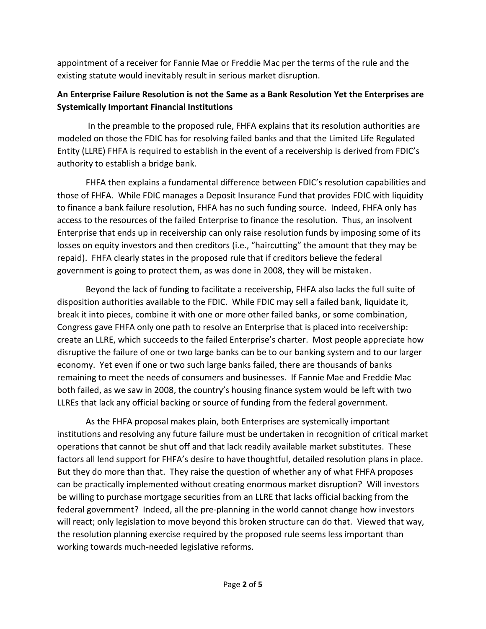appointment of a receiver for Fannie Mae or Freddie Mac per the terms of the rule and the existing statute would inevitably result in serious market disruption.

## **An Enterprise Failure Resolution is not the Same as a Bank Resolution Yet the Enterprises are Systemically Important Financial Institutions**

In the preamble to the proposed rule, FHFA explains that its resolution authorities are modeled on those the FDIC has for resolving failed banks and that the Limited Life Regulated Entity (LLRE) FHFA is required to establish in the event of a receivership is derived from FDIC's authority to establish a bridge bank.

FHFA then explains a fundamental difference between FDIC's resolution capabilities and those of FHFA. While FDIC manages a Deposit Insurance Fund that provides FDIC with liquidity to finance a bank failure resolution, FHFA has no such funding source. Indeed, FHFA only has access to the resources of the failed Enterprise to finance the resolution. Thus, an insolvent Enterprise that ends up in receivership can only raise resolution funds by imposing some of its losses on equity investors and then creditors (i.e., "haircutting" the amount that they may be repaid). FHFA clearly states in the proposed rule that if creditors believe the federal government is going to protect them, as was done in 2008, they will be mistaken.

Beyond the lack of funding to facilitate a receivership, FHFA also lacks the full suite of disposition authorities available to the FDIC. While FDIC may sell a failed bank, liquidate it, break it into pieces, combine it with one or more other failed banks, or some combination, Congress gave FHFA only one path to resolve an Enterprise that is placed into receivership: create an LLRE, which succeeds to the failed Enterprise's charter. Most people appreciate how disruptive the failure of one or two large banks can be to our banking system and to our larger economy. Yet even if one or two such large banks failed, there are thousands of banks remaining to meet the needs of consumers and businesses. If Fannie Mae and Freddie Mac both failed, as we saw in 2008, the country's housing finance system would be left with two LLREs that lack any official backing or source of funding from the federal government.

As the FHFA proposal makes plain, both Enterprises are systemically important institutions and resolving any future failure must be undertaken in recognition of critical market operations that cannot be shut off and that lack readily available market substitutes. These factors all lend support for FHFA's desire to have thoughtful, detailed resolution plans in place. But they do more than that. They raise the question of whether any of what FHFA proposes can be practically implemented without creating enormous market disruption? Will investors be willing to purchase mortgage securities from an LLRE that lacks official backing from the federal government? Indeed, all the pre-planning in the world cannot change how investors will react; only legislation to move beyond this broken structure can do that. Viewed that way, the resolution planning exercise required by the proposed rule seems less important than working towards much-needed legislative reforms.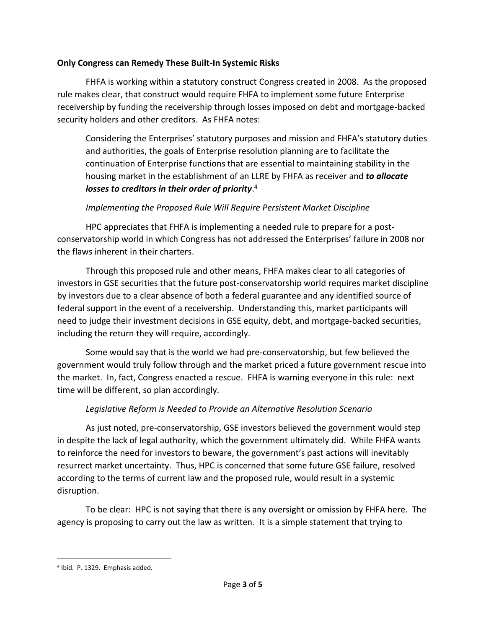### **Only Congress can Remedy These Built-In Systemic Risks**

FHFA is working within a statutory construct Congress created in 2008. As the proposed rule makes clear, that construct would require FHFA to implement some future Enterprise receivership by funding the receivership through losses imposed on debt and mortgage-backed security holders and other creditors. As FHFA notes:

Considering the Enterprises' statutory purposes and mission and FHFA's statutory duties and authorities, the goals of Enterprise resolution planning are to facilitate the continuation of Enterprise functions that are essential to maintaining stability in the housing market in the establishment of an LLRE by FHFA as receiver and *to allocate losses to creditors in their order of priority*. 4

## *Implementing the Proposed Rule Will Require Persistent Market Discipline*

HPC appreciates that FHFA is implementing a needed rule to prepare for a postconservatorship world in which Congress has not addressed the Enterprises' failure in 2008 nor the flaws inherent in their charters.

Through this proposed rule and other means, FHFA makes clear to all categories of investors in GSE securities that the future post-conservatorship world requires market discipline by investors due to a clear absence of both a federal guarantee and any identified source of federal support in the event of a receivership. Understanding this, market participants will need to judge their investment decisions in GSE equity, debt, and mortgage-backed securities, including the return they will require, accordingly.

Some would say that is the world we had pre-conservatorship, but few believed the government would truly follow through and the market priced a future government rescue into the market. In, fact, Congress enacted a rescue. FHFA is warning everyone in this rule: next time will be different, so plan accordingly.

# *Legislative Reform is Needed to Provide an Alternative Resolution Scenario*

As just noted, pre-conservatorship, GSE investors believed the government would step in despite the lack of legal authority, which the government ultimately did. While FHFA wants to reinforce the need for investors to beware, the government's past actions will inevitably resurrect market uncertainty. Thus, HPC is concerned that some future GSE failure, resolved according to the terms of current law and the proposed rule, would result in a systemic disruption.

To be clear: HPC is not saying that there is any oversight or omission by FHFA here. The agency is proposing to carry out the law as written. It is a simple statement that trying to

<sup>4</sup> Ibid. P. 1329. Emphasis added.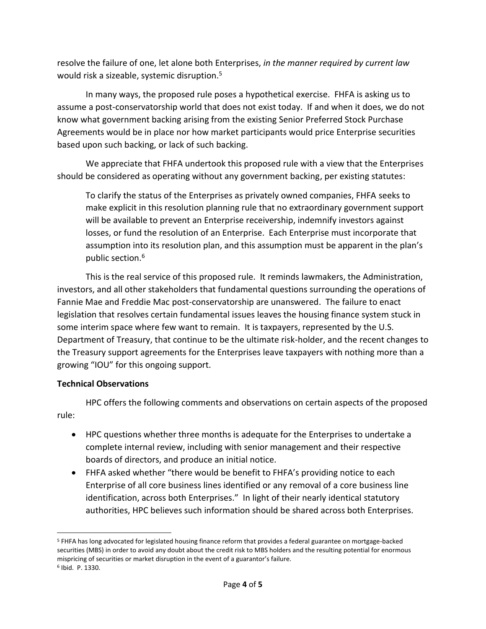resolve the failure of one, let alone both Enterprises, *in the manner required by current law*  would risk a sizeable, systemic disruption.<sup>5</sup>

In many ways, the proposed rule poses a hypothetical exercise. FHFA is asking us to assume a post-conservatorship world that does not exist today. If and when it does, we do not know what government backing arising from the existing Senior Preferred Stock Purchase Agreements would be in place nor how market participants would price Enterprise securities based upon such backing, or lack of such backing.

We appreciate that FHFA undertook this proposed rule with a view that the Enterprises should be considered as operating without any government backing, per existing statutes:

To clarify the status of the Enterprises as privately owned companies, FHFA seeks to make explicit in this resolution planning rule that no extraordinary government support will be available to prevent an Enterprise receivership, indemnify investors against losses, or fund the resolution of an Enterprise. Each Enterprise must incorporate that assumption into its resolution plan, and this assumption must be apparent in the plan's public section.<sup>6</sup>

This is the real service of this proposed rule. It reminds lawmakers, the Administration, investors, and all other stakeholders that fundamental questions surrounding the operations of Fannie Mae and Freddie Mac post-conservatorship are unanswered. The failure to enact legislation that resolves certain fundamental issues leaves the housing finance system stuck in some interim space where few want to remain. It is taxpayers, represented by the U.S. Department of Treasury, that continue to be the ultimate risk-holder, and the recent changes to the Treasury support agreements for the Enterprises leave taxpayers with nothing more than a growing "IOU" for this ongoing support.

#### **Technical Observations**

HPC offers the following comments and observations on certain aspects of the proposed rule:

- HPC questions whether three months is adequate for the Enterprises to undertake a complete internal review, including with senior management and their respective boards of directors, and produce an initial notice.
- FHFA asked whether "there would be benefit to FHFA's providing notice to each Enterprise of all core business lines identified or any removal of a core business line identification, across both Enterprises." In light of their nearly identical statutory authorities, HPC believes such information should be shared across both Enterprises.

<sup>5</sup> FHFA has long advocated for legislated housing finance reform that provides a federal guarantee on mortgage-backed securities (MBS) in order to avoid any doubt about the credit risk to MBS holders and the resulting potential for enormous mispricing of securities or market disruption in the event of a guarantor's failure. 6 Ibid. P. 1330.